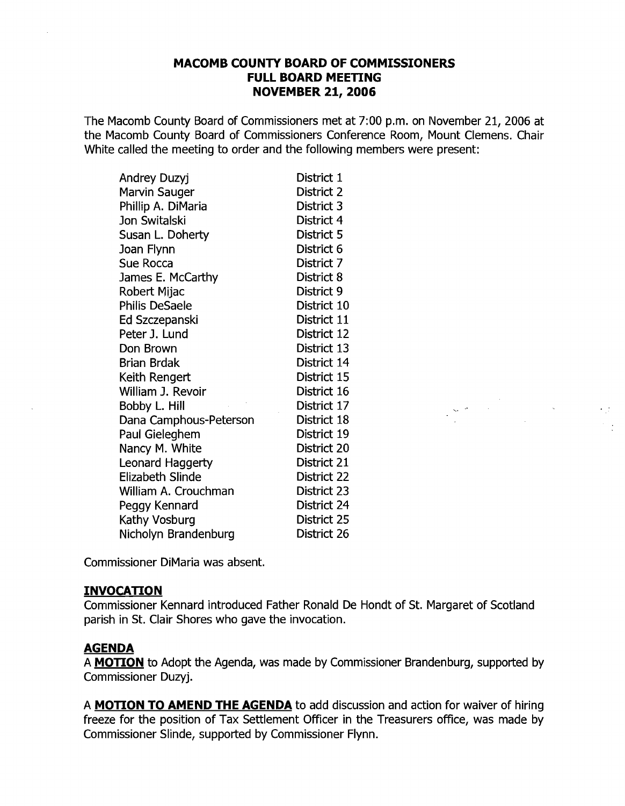#### **MACOMB COUNTY BOARD OF COMMISSIONERS FULL BOARD MEETING NOVEMBER 21, 2006**

The Macomb County Board of Commissioners met at 7:00 p.m. on November 21, 2006 at the Macomb County Board of Commissioners Conference Room, Mount Clemens. Chair White called the meeting to order and the following members were present:

| Andrey Duzyj           | District 1  |
|------------------------|-------------|
| Marvin Sauger          | District 2  |
| Phillip A. DiMaria     | District 3  |
| Jon Switalski          | District 4  |
| Susan L. Doherty       | District 5  |
| Joan Flynn             | District 6  |
| Sue Rocca              | District 7  |
| James E. McCarthy      | District 8  |
| Robert Mijac           | District 9  |
| <b>Philis DeSaele</b>  | District 10 |
| Ed Szczepanski         | District 11 |
| Peter J. Lund          | District 12 |
| Don Brown              | District 13 |
| <b>Brian Brdak</b>     | District 14 |
| Keith Rengert          | District 15 |
| William J. Revoir      | District 16 |
| Bobby L. Hill          | District 17 |
| Dana Camphous-Peterson | District 18 |
| Paul Gieleghem         | District 19 |
| Nancy M. White         | District 20 |
| Leonard Haggerty       | District 21 |
| Elizabeth Slinde       | District 22 |
| William A. Crouchman   | District 23 |
| Peggy Kennard          | District 24 |
| Kathy Vosburg          | District 25 |
| Nicholyn Brandenburg   | District 26 |

Commissioner DiMaria was absent.

#### **INVOCATION**

Commissioner Kennard introduced Father Ronald De Hondt of St. Margaret of Scotland parish in St. Clair Shores who gave the invocation.

 $\sum_{i=1}^n\sum_{j=1}^n\frac{1}{j!}\sum_{j=1}^n\sum_{j=1}^n\frac{1}{j!}\sum_{j=1}^n\sum_{j=1}^n\frac{1}{j!}\sum_{j=1}^n\sum_{j=1}^n\frac{1}{j!}\sum_{j=1}^n\frac{1}{j!}\sum_{j=1}^n\frac{1}{j!}\sum_{j=1}^n\frac{1}{j!}\sum_{j=1}^n\frac{1}{j!}\sum_{j=1}^n\frac{1}{j!}\sum_{j=1}^n\frac{1}{j!}\sum_{j=1}^n\frac{1}{j!}\sum_{j=1}^$ 

#### **AGENDA**

A **MOTION** to Adopt the Agenda, was made by Commissioner Brandenburg, supported by Commissioner Duzyj.

A **MOTION TO AMEND THE AGENDA** to add discussion and action for waiver of hiring freeze for the position of Tax Settlement Officer in the Treasurers office, was made by Commissioner Slinde, supported by Commissioner Flynn.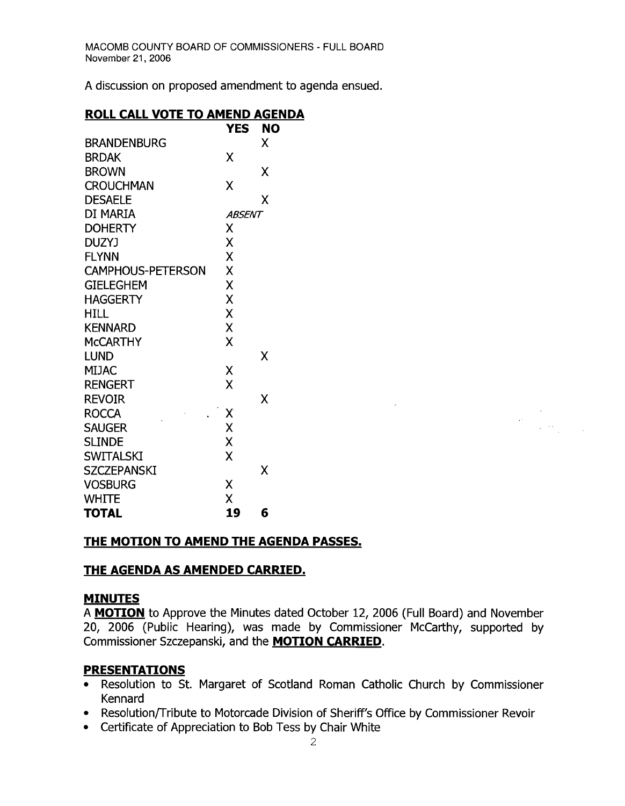A discussion on proposed amendment to agenda ensued.

# **ROLL CALL VOTE TO AMEND AGENDA**

|                          | YES    | NO |
|--------------------------|--------|----|
| <b>BRANDENBURG</b>       |        | X  |
| <b>BRDAK</b>             | X      |    |
| <b>BROWN</b>             |        | x  |
| <b>CROUCHMAN</b>         | χ      |    |
| <b>DESAELE</b>           |        | X  |
| DI MARIA                 | ABSENT |    |
| <b>DOHERTY</b>           | χ      |    |
| <b>DUZYJ</b>             | X      |    |
| <b>FLYNN</b>             | X      |    |
| <b>CAMPHOUS-PETERSON</b> | X      |    |
| <b>GIELEGHEM</b>         | X      |    |
| <b>HAGGERTY</b>          | X      |    |
| HILL                     | X      |    |
| <b>KENNARD</b>           | X      |    |
| <b>MCCARTHY</b>          | χ      |    |
| <b>LUND</b>              |        | χ  |
| <b>MIJAC</b>             | X      |    |
| <b>RENGERT</b>           | Χ      |    |
| <b>REVOIR</b>            |        | X  |
| <b>ROCCA</b>             | Χ      |    |
| <b>SAUGER</b>            | X      |    |
| <b>SLINDE</b>            | X      |    |
| <b>SWITALSKI</b>         | X      |    |
| <b>SZCZEPANSKI</b>       |        | x  |
| <b>VOSBURG</b>           | Χ      |    |
| <b>WHITE</b>             | X      |    |
| <b>TOTAL</b>             | 19     | 6  |

# **THE MOTION TO AMEND THE AGENDA PASSES.**

# **THE AGENDA AS AMENDED CARRIED.**

# **MINUTES**

A **MOTION** to Approve the Minutes dated October 12, 2006 (Full Board) and November 20, 2006 (Public Hearing), was made by Commissioner McCarthy, supported by Commissioner Szczepanski, and the **MOTION CARRIED.** 

 $\label{eq:2} \begin{split} \mathcal{L}_{\text{max}}(\mathcal{L}_{\text{max}}) = \mathcal{L}_{\text{max}}(\mathcal{L}_{\text{max}}) \end{split}$ 

# **PRESENTATIONS**

- Resolution to St. Margaret of Scotland Roman Catholic Church by Commissioner Kennard
- Resolution/Tribute to Motorcade Division of Sheriff's Office by Commissioner Revoir
- • Certificate of Appreciation to Bob Tess by Chair White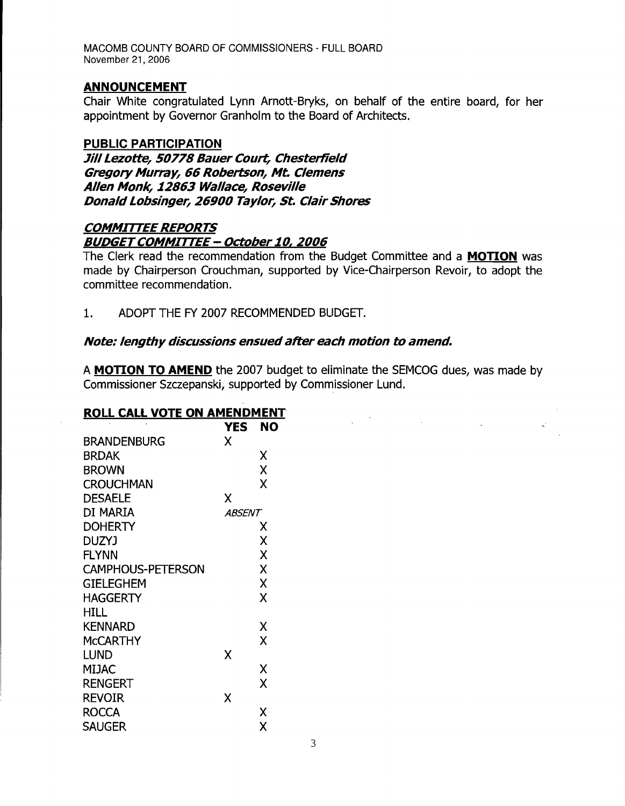#### **ANNOUNCEMENT**

Chair White congratulated Lynn Arnott-Bryks, on behalf of the entire board, for her appointment by Governor Granholm to the Board of Architects.

#### **PUBLIC PARTICIPATION**

**Jill Lezotte, 50778 Bauer Court, Chesterfield Gregory Murray, 66 Robertson, Mt. Clemens Allen Monk, 12863 Wallace, Roseville Donald Lobsinger, 26900 Taylor, St. Clair Shores** 

# **COMMITTEE REPORTS BUDGET COMMITTEE - October 10, 2006**

The Clerk read the recommendation from the Budget Committee and a **MOTION** was made by Chairperson Crouchman, supported by Vice-Chairperson Revoir, to adopt the committee recommendation.

1. ADOPT THE FY 2007 RECOMMENDED BUDGET.

#### **Note: lengthy discussions ensuedafter each motion to amend.**

A **MOTION TO AMEND** the 2007 budget to eliminate the SEMCOG dues, was made by Commissioner Szczepanski, supported by Commissioner Lund.

 $\label{eq:2.1} \frac{1}{2}\sum_{i=1}^n\frac{1}{2}\sum_{i=1}^n\frac{1}{2}\sum_{i=1}^n\frac{1}{2}\sum_{i=1}^n\frac{1}{2}\sum_{i=1}^n\frac{1}{2}\sum_{i=1}^n\frac{1}{2}\sum_{i=1}^n\frac{1}{2}\sum_{i=1}^n\frac{1}{2}\sum_{i=1}^n\frac{1}{2}\sum_{i=1}^n\frac{1}{2}\sum_{i=1}^n\frac{1}{2}\sum_{i=1}^n\frac{1}{2}\sum_{i=1}^n\frac{1}{2}\sum_{i=1}^n\$ 

#### **ROLL CALL VOTE ON AMENDMENT**

| <b>YES</b> | NO            |
|------------|---------------|
| Χ          |               |
|            | χ             |
|            | X             |
|            | X             |
| Χ          |               |
|            |               |
|            | X             |
|            | X             |
|            | X             |
|            | X             |
|            | X             |
|            | X             |
|            |               |
|            | Χ             |
|            | X             |
| Χ          |               |
|            | χ             |
|            | X             |
| X          |               |
|            | χ             |
|            | Χ             |
|            | <b>ABSENT</b> |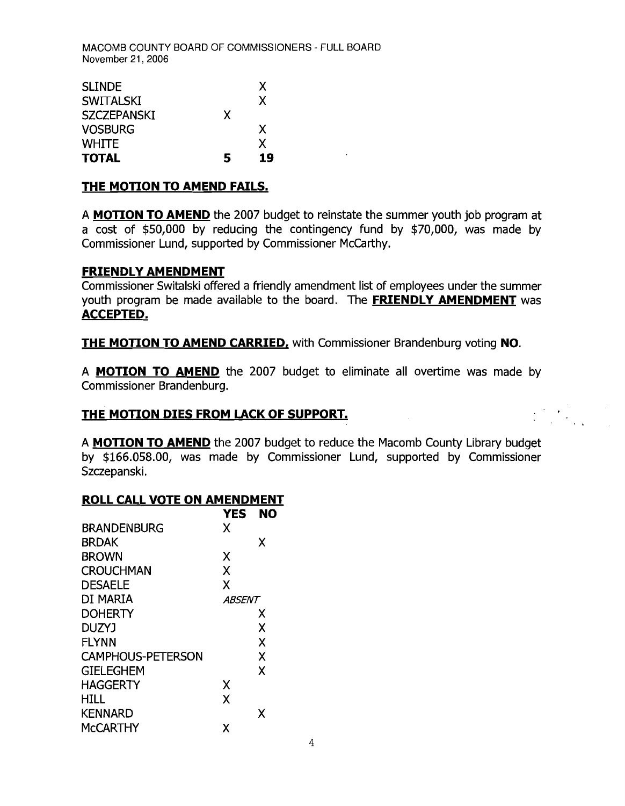| <b>SLINDE</b>      |   | X  |
|--------------------|---|----|
| <b>SWITALSKI</b>   |   | X  |
| <b>SZCZEPANSKI</b> | X |    |
| <b>VOSBURG</b>     |   | X  |
| <b>WHITE</b>       |   | X  |
| <b>TOTAL</b>       | 5 | 19 |

#### **THE MOTION TO AMEND FAILS.**

A **MOTION TO AMEND** the 2007 budget to reinstate the summer youth job program at a cost of \$50,000 by reducing the contingency fund by \$70,000, was made by Commissioner Lund, supported by Commissioner McCarthy.

#### **FRIENDLY AMENDMENT**

Commissioner Switalski offered a friendly amendment list of employees under the summer youth program be made available to the board. The **FRIENDLY AMENDMENT** was **ACCEPTED.** 

**THE MOTION TO AMEND CARRIED,** with Commissioner Brandenburg voting **NO.** 

A **MOTION TO AMEND** the 2007 budget to eliminate all overtime was made by Commissioner Brandenburg.

#### **THE MOTION DIES FROM LACK OF SUPPORT.**

A **MOTION TO AMEND** the 2007 budget to reduce the Macomb County Library budget by \$166.058.00, was made by Commissioner Lund, supported by Commissioner Szczepanski.

#### **ROLL CALL VOTE ON AMENDMENT**

|                          | YES           | NΩ |
|--------------------------|---------------|----|
| <b>BRANDENBURG</b>       | x             |    |
| <b>BRDAK</b>             |               | x  |
| <b>BROWN</b>             | Χ             |    |
| <b>CROUCHMAN</b>         | X             |    |
| <b>DESAELE</b>           | X             |    |
| DI MARIA                 | <i>ABSENT</i> |    |
| <b>DOHERTY</b>           |               | Х  |
| <b>DUZYJ</b>             |               | X  |
| <b>FLYNN</b>             |               | X  |
| <b>CAMPHOUS-PETERSON</b> |               | X  |
| <b>GIELEGHEM</b>         |               | X  |
| <b>HAGGERTY</b>          | Χ             |    |
| HILL                     | X             |    |
| <b>KENNARD</b>           |               | X  |
| <b>MCCARTHY</b>          | χ             |    |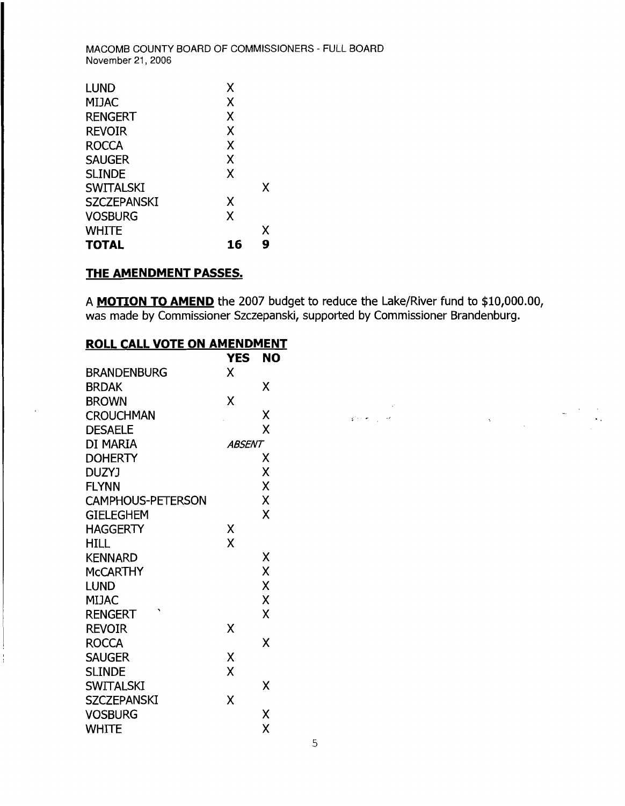| <b>LUND</b>        | x  |   |
|--------------------|----|---|
| <b>MIJAC</b>       | Χ  |   |
| <b>RENGERT</b>     | Χ  |   |
| <b>REVOIR</b>      | X  |   |
| <b>ROCCA</b>       | X  |   |
| <b>SAUGER</b>      | Χ  |   |
| <b>SLINDE</b>      | X  |   |
| <b>SWITALSKI</b>   |    | X |
| <b>SZCZEPANSKI</b> | X  |   |
| <b>VOSBURG</b>     | X  |   |
| <b>WHITE</b>       |    | Х |
| TOTAL              | 16 | g |

# **THE AMENDMENT PASSES.**

A **MOTION TO AMEND** the 2007 budget to reduce the Lake/River fund to \$10,000.00, was made by Commissioner Szczepanski, supported by Commissioner Brandenburg.

# **ROLL CALL VOTE ON AMENDMENT**

|                          | <b>YES</b> | <b>NO</b> |
|--------------------------|------------|-----------|
| <b>BRANDENBURG</b>       | X          |           |
| <b>BRDAK</b>             |            | X         |
| <b>BROWN</b>             | X          |           |
| <b>CROUCHMAN</b>         |            | Χ<br>ç.   |
| <b>DESAELE</b>           |            | X         |
| DI MARIA                 | ABSENT     |           |
| <b>DOHERTY</b>           |            | Χ         |
| DUZYJ                    |            | X         |
| <b>FLYNN</b>             |            | X         |
| <b>CAMPHOUS-PETERSON</b> |            | X         |
| <b>GIELEGHEM</b>         |            | X         |
| <b>HAGGERTY</b>          | Χ          |           |
| <b>HILL</b>              | X          |           |
| <b>KENNARD</b>           |            | Χ         |
| <b>MCCARTHY</b>          |            | X         |
| <b>LUND</b>              |            | X         |
| <b>MIJAC</b>             |            | X         |
| <b>RENGERT</b>           |            | X         |
| <b>REVOIR</b>            | Χ          |           |
| <b>ROCCA</b>             |            | X         |
| <b>SAUGER</b>            | Χ          |           |
| <b>SLINDE</b>            | X          |           |
| <b>SWITALSKI</b>         |            | X         |
| <b>SZCZEPANSKI</b>       | X          |           |
| <b>VOSBURG</b>           |            | X         |
| <b>WHITE</b>             |            | X         |

ţ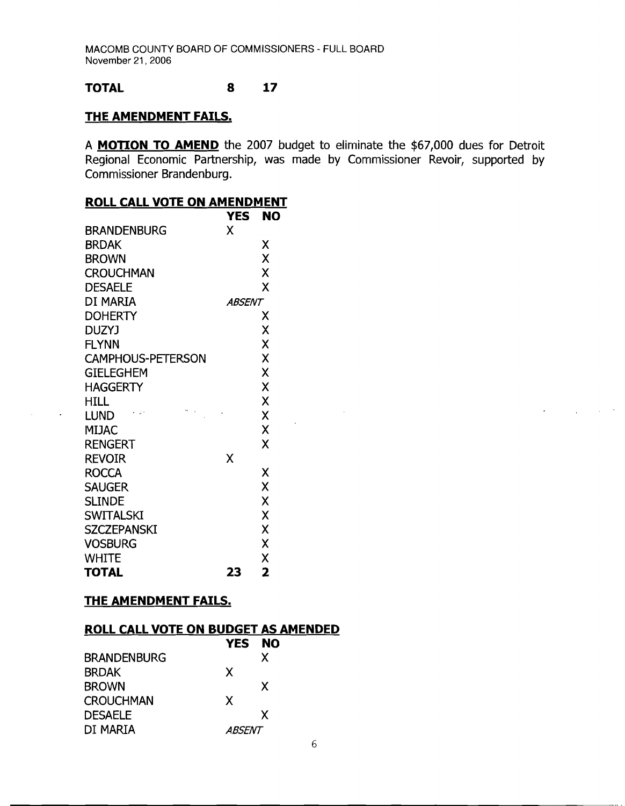#### **TOTAL** 8 **17**

#### **THE AMENDMENT FAILS.**

A **MOTION TO AMEND** the 2007 budget to eliminate the \$67,000 dues for Detroit Regional Economic Partnership, was made by Commissioner Revoir, supported by Commissioner Brandenburg.

 $\sim 10^7$ 

 $\mathbb{R}^2$ 

# **ROLL CALL VOTE ON AMENDMENT**

|                          | YES    | NO |
|--------------------------|--------|----|
| <b>BRANDENBURG</b>       | χ      |    |
| <b>BRDAK</b>             |        | Χ  |
| <b>BROWN</b>             |        | X  |
| <b>CROUCHMAN</b>         |        | X  |
| <b>DESAELE</b>           |        | X  |
| DI MARIA                 | ABSENT |    |
| <b>DOHERTY</b>           |        | Х  |
| <b>DUZYJ</b>             |        | X  |
| <b>FLYNN</b>             |        | X  |
| <b>CAMPHOUS-PETERSON</b> |        | X  |
| <b>GIELEGHEM</b>         |        | X  |
| <b>HAGGERTY</b>          |        | X  |
| HILL                     |        | X  |
| <b>LUND</b>              |        | X  |
| MIJAC                    |        | X  |
| <b>RENGERT</b>           |        | X  |
| <b>REVOIR</b>            | X      |    |
| <b>ROCCA</b>             |        | Χ  |
| <b>SAUGER</b>            |        | X  |
| <b>SLINDE</b>            |        | X  |
| <b>SWITALSKI</b>         |        | X  |
| <b>SZCZEPANSKI</b>       |        | X  |
| <b>VOSBURG</b>           |        | X  |
| <b>WHITE</b>             |        | X  |
| <b>TOTAL</b>             | 23     | 2  |

 $\langle \rangle$  .

# **THE AMENDMENT FAILS.**

#### **ROLL CALL VOTE ON BUDGET AS AMENDED**

|                    | YES.          | <b>NO</b> |  |
|--------------------|---------------|-----------|--|
| <b>BRANDENBURG</b> |               | X         |  |
| <b>BRDAK</b>       | X             |           |  |
| <b>BROWN</b>       |               | X         |  |
| <b>CROUCHMAN</b>   | X             |           |  |
| <b>DESAELE</b>     |               | x         |  |
| DI MARIA           | <i>ABSENT</i> |           |  |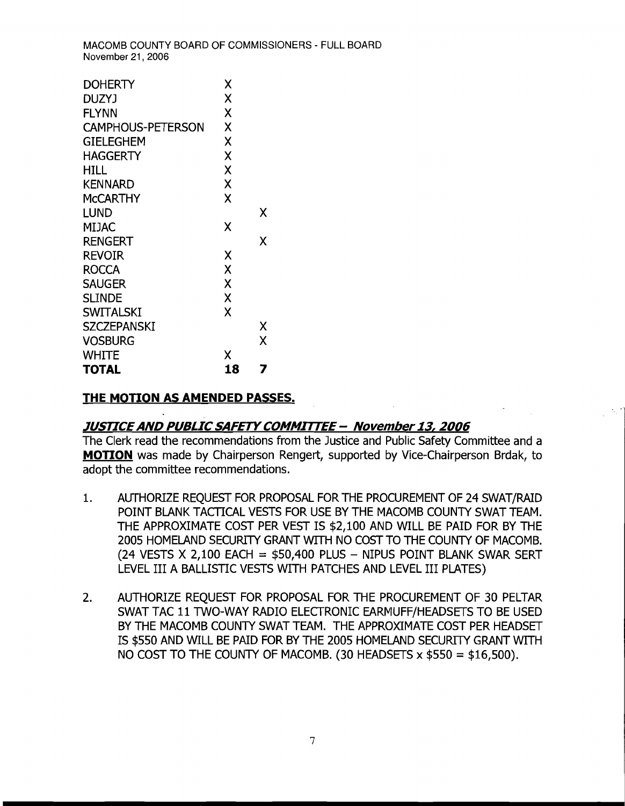| <b>DOHERTY</b>           | Χ  |   |
|--------------------------|----|---|
| DUZYJ                    | X  |   |
| <b>FLYNN</b>             | X  |   |
| <b>CAMPHOUS-PETERSON</b> | X  |   |
| <b>GIELEGHEM</b>         | X  |   |
| HAGGERTY                 | X  |   |
| HILL.                    | X  |   |
| <b>KENNARD</b>           | X  |   |
| McCARTHY                 | X  |   |
| LUND                     |    | x |
| MIJAC                    | χ  |   |
| <b>RENGERT</b>           |    | x |
| <b>REVOIR</b>            | χ  |   |
| <b>ROCCA</b>             | X  |   |
| <b>SAUGER</b>            | X  |   |
| <b>SLINDE</b>            | X  |   |
| <b>SWITALSKI</b>         | χ  |   |
| SZCZEPANSKI              |    | χ |
| <b>VOSBURG</b>           |    | X |
| WHITE                    | x  |   |
| <b>TOTAL</b>             | 18 | 7 |

# **THE MOTION AS AMENDED PASSES.**

# **JUSTICEAND PUBLIC SAFETYCOMMITTEE - November 13, 2006**

The Clerk read the recommendations from the Justice and Public Safety Committee and a **MOTION** was made by Chairperson Rengert, supported by Vice-Chairperson Brdak, to adopt the committee recommendations.

- 1. AUTHORIZE REQUEST FOR PROPOSAL FOR THE PROCUREMENT OF 24 SWAT/RAID POINT BLANK TACTICAL VESTS FOR USE BY THE MACOMB COUNTY SWAT TEAM. THE APPROXIMATE COST PER VEST IS \$2,100 AND WILL BE PAID FOR BY THE 2005 HOMELAND SECURITY GRANT WITH NO COST TO THE COUNTY OF MACOMB. (24 VESTS X 2,100 EACH =  $$50,400$  PLUS - NIPUS POINT BLANK SWAR SERT LEVEL III A BALLISTIC VESTS WITH PATCHES AND LEVEL III PLATES)
- 2. AUTHORIZE REQUEST FOR PROPOSAL FOR THE PROCUREMENT OF 30 PELTAR SWAT TAC 11 TWO-WAY RADIO ELECTRONIC EARMUFF/HEADSETS TO BE USED BY THE MACOMB COUNTY SWAT TEAM. THE APPROX[MATE COST PER HEADSET IS \$550 AND WILL BE PAID FOR BY THE 2005 HOMELAND SECURITY GRANT WITH NO COST TO THE COUNTY OF MACOMB. (30 HEADSETS  $\times$  \$550 = \$16,500).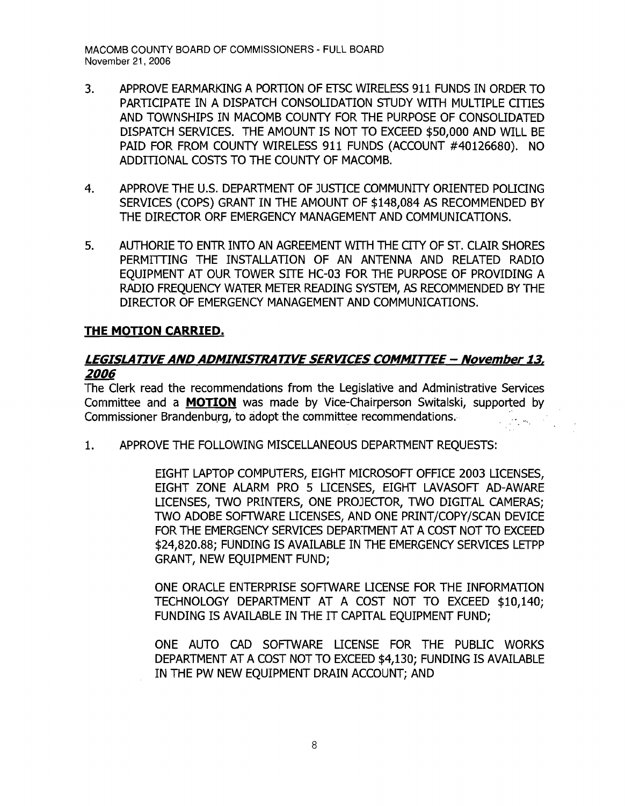- 3. APPROVE EARMARKING A PORTION OF ETSC WIRELESS 911 FUNDS IN ORDER TO PARTICIPATE IN A DISPATCH CONSOLIDATION STUDY WITH MULTIPLE CITIES AND TOWNSHIPS IN MACOMB COUNTY FOR THE PURPOSE OF CONSOLIDATED DISPATCH SERVICES. THE AMOUNT IS NOT TO EXCEED \$50,000 AND WILL BE PAID FOR FROM COUNTY WIRELESS 911 FUNDS (ACCOUNT #40126680). NO ADDITIONAL COSTS TO THE COUNTY OF MACOMB.
- 4. APPROVE THE U.S. DEPARTMENT OF JUSTICE COMMUNITY ORIENTED POLICING SERVICES (COPS) GRANT IN THE AMOUNT OF \$148,084 AS RECOMMENDED BY THE DIRECTOR ORF EMERGENCY MANAGEMENT AND COMMUNICATIONS.
- 5. AUTHORIE TO ENTR INTO AN AGREEMENT WITH THE CITY OF ST. CLAIR SHORES PERMffiING THE INSTALLATION OF AN ANTENNA AND RELATED RADIO EQUIPMENT AT OUR TOWER SITE HC-03 FOR THE PURPOSE OF PROVIDING A RADIO FREQUENCY WATER METER READING SYSTEM, AS RECOMMENDED BY THE DIRECTOR OF EMERGENCY MANAGEMENT AND COMMUNICATIONS.

# **THE MOTION CARRIED.**

# **LEGISLATIVE AND ADMINISTRATIVE SERVICES COMMITTEE - November 13,**  *2006*

The Clerk read the recommendations from the Legislative and Administrative Services Committee and a **MOTION** was made by Vice-Chairperson Switalski, supported by Commissioner Brandenburg, to adopt the committee recommendations.

1. APPROVE THE FOLLOWING MISCELLANEOUS DEPARTMENT REOUESTS:

EIGHT LAPTOP COMPUTERS, EIGHT MICROSOFT OFFICE 2003 LICENSES, EIGHT ZONE ALARM PRO 5 LICENSES, EIGHT LAVASOFT AD-AWARE LICENSES, TWO PRINTERS, ONE PROJECTOR, TWO DIGITAL CAMERAS; TWO ADOBE SOFTWARE LICENSES, AND ONE PRINT/COPY/SCAN DEVICE FOR THE EMERGENCY SERVICES DEPARTMENT AT A COST NOT TO EXCEED \$24,820.88; FUNDING IS AVAILABLE IN THE EMERGENCY SERVICES LETPP GRANT, NEW EQUIPMENT FUND;

ONE ORACLE ENTERPRISE SOFTWARE LICENSE FOR THE INFORMATION TECHNOLOGY DEPARTMENT AT A COST NOT TO EXCEED \$10,140; FUNDING IS AVAILABLE IN THE IT CAPITAL EQUIPMENT FUND;

ONE AUTO CAD SOFTWARE LICENSE FOR THE PUBLIC WORKS DEPARTMENT AT A COST NOT TO EXCEED \$4,130; FUNDING IS AVAILABLE IN THE PW NEW EQUIPMENT DRAIN ACCOUNT; AND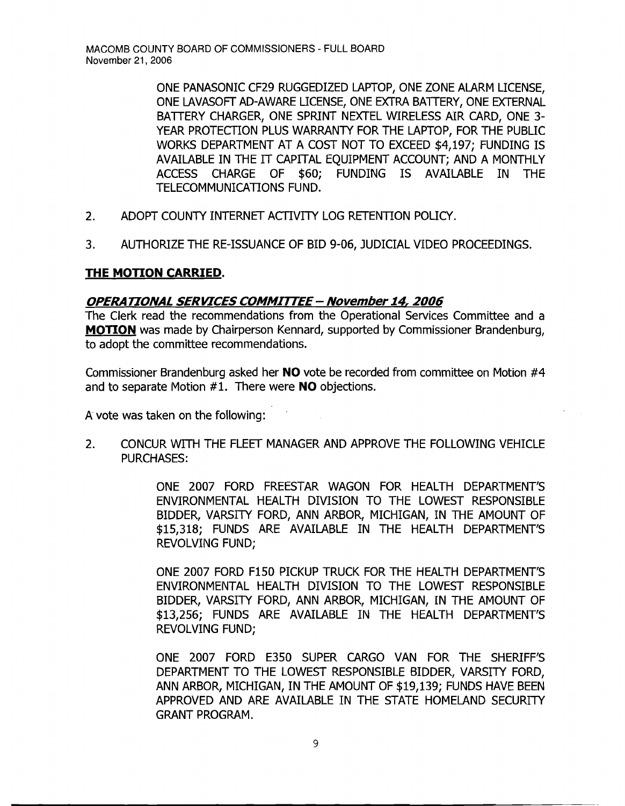ONE PANASONIC CF29 RUGGEDIZED LAPTOP, ONE ZONE ALARM LICENSE, ONE LAVASOFT AD-AWARE LICENSE, ONE EXTRA BATTERY, ONE EXTERNAL BATTERY CHARGER, ONE SPRINT NEXTEL WIRELESS AIR CARD, ONE 3-YEAR PROTECTION PLUS WARRANTY FOR THE LAPTOP, FOR THE PUBLIC WORKS DEPARTMENT AT A COST NOT TO EXCEED \$4,197; FUNDING IS AVAILABLE IN THE IT CAPITAL EQUIPMENT ACCOUNT; AND A MONTHLY ACCESS CHARGE OF \$60; FUNDING IS AVAILABLE IN THE TELECOMMUNICATIONS FUND.

- 2. ADOPT COUNTY INTERNET ACTIVITY LOG RETENTION POLICY.
- 3. AUTHORIZE THE RE-ISSUANCE OF BID 9-06, JUDICIAL VIDEO PROCEEDINGS.

# **THE MOTION CARRIED.**

#### **OPERA TIONAL SERVICES COMMITTEE - November** 14, **2006**

The Clerk read the recommendations from the Operational Services Committee and a **MOTION** was made by Chairperson Kennard, supported by Commissioner Brandenburg, to adopt the committee recommendations.

Commissioner Brandenburg asked her **NO** vote be recorded from committee on Motion #4 and to separate Motion #1. There were **NO** objections.

A vote was taken on the following:

2. CONCUR WITH THE FLEET MANAGER AND APPROVE THE FOLLOWING VEHICLE PURCHASES:

> ONE 2007 FORD FREESTAR WAGON FOR HEALTH DEPARTMENT'S ENVIRONMENTAL HEALTH DIVISION TO THE LOWEST RESPONSIBLE BIDDER, VARSITY FORD, ANN ARBOR, MICHIGAN, IN THE AMOUNT OF \$15,318; FUNDS ARE AVAILABLE IN THE HEALTH DEPARTMENT'S REVOLVING FUND;

> ONE 2007 FORD F150 PICKUP TRUCK FOR THE HEALTH DEPARTMENT'S ENVIRONMENTAL HEALTH DIVISION TO THE LOWEST RESPONSIBLE BIDDER, VARSITY FORD, ANN ARBOR, MICHIGAN, IN THE AMOUNT OF \$13,256; FUNDS ARE AVAILABLE IN THE HEALTH DEPARTMENT'S REVOLVING FUND;

> ONE 2007 FORD E350 SUPER CARGO VAN FOR THE SHERIFF'S DEPARTMENT TO THE LOWEST RESPONSIBLE BIDDER, VARSITY FORD, ANN ARBOR, MICHIGAN, IN THE AMOUNT OF \$19,139; FUNDS HAVE BEEN APPROVED AND ARE AVAILABLE IN THE STATE HOMELAND SECURTIY GRANT PROGRAM.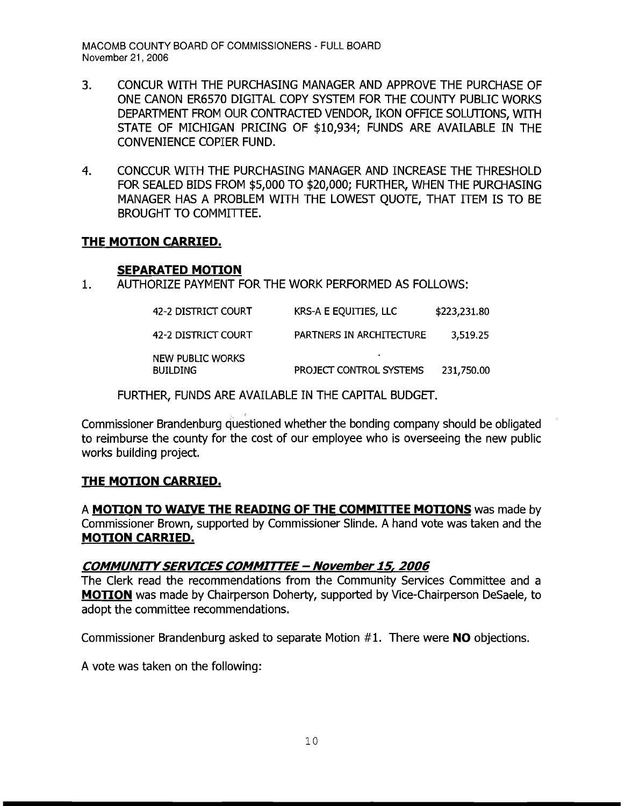- 3. CONCUR WITH THE PURCHASING MANAGER AND APPROVE THE PURCHASE OF ONE CANON ER6570 DIGITAL COPY SYSTEM FOR THE COUNTY PUBLIC WORKS DEPARTMENT FROM OUR CONTRACTED VENDOR, IKON OFFICE SOLUTIONS, WITH STATE OF MICHIGAN PRICING OF \$10,934; FUNDS ARE AVAILABLE IN THE CONVENIENCE COPIER FUND.
- 4. CONCCUR WITH THE PURCHASING MANAGER AND INCREASE THE THRESHOLD FOR SEALED BIDS FROM \$5,000 TO \$20,000; FURTHER, WHEN THE PURCHASING MANAGER HAS A PROBLEM WITH THE LOWEST OUOTE, THAT ITEM IS TO BE BROUGHT TO COMMITTEE.

# **THE MOTION CARRIED.**

#### **SEPARATED MOTION**

1. AUTHORIZE PAYMENT FOR THE WORK PERFORMED AS FOLLOWS:

| 42-2 DISTRICT COURT                 | KRS-A E EQUITIES, LLC                | \$223,231.80 |
|-------------------------------------|--------------------------------------|--------------|
| 42-2 DISTRICT COURT                 | PARTNERS IN ARCHITECTURE             | 3,519.25     |
| NEW PUBLIC WORKS<br><b>BUILDING</b> | $\bullet$<br>PROJECT CONTROL SYSTEMS | 231,750.00   |

FURTHER, FUNDS ARE AVAILABLE IN THE CAPITAL BUDGET.

Commissioner Brandenburg questioned whether the bonding company should be obligated to reimburse the county for the cost of our employee who is overseeing the new public works building project.

# **THE MOTION CARRIED.**

A **MOTION TO WAIVE THE READING OF THE COMMITrEE MOTIONS** was made by Commissioner Brown, supported by Commissioner Slinde. A hand vote was taken and the **MOTION CARRIED.** 

# **COMMUNITYSERVICES COMMITTEE - November 15, 2006**

The Clerk read the recommendations from the Community Services Committee and a **MOTION** was made by Chairperson Doherty, supported by Vice-Chairperson DeSaele, to adopt the committee recommendations.

Commissioner Brandenburg asked to separate Motion # 1. There were **NO** objections.

A vote was taken on the following: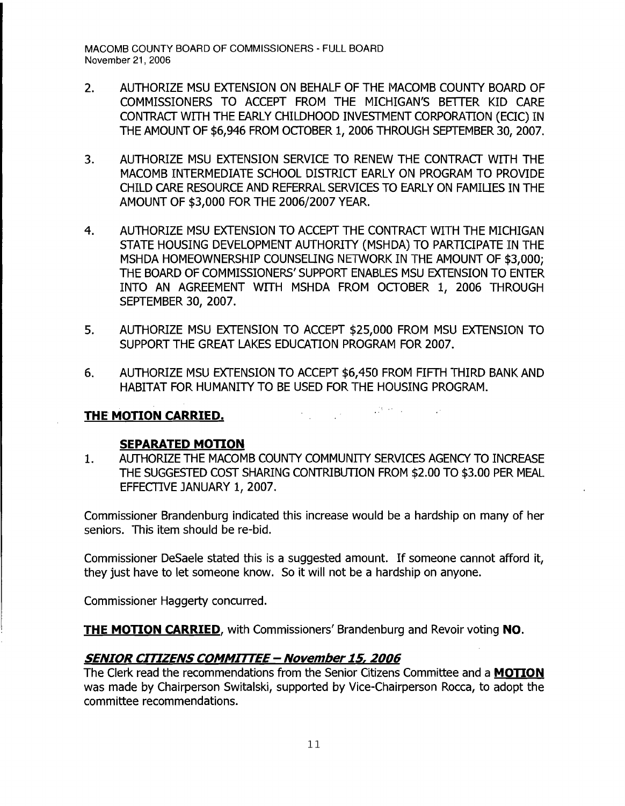- 2. AUTHORIZE MSU EXTENSION ON BEHALF OF THE MACOMB COUNTY BOARD OF COMMISSIONERS TO ACCEPT FROM THE MICHIGAN'S BETTER KID CARE CONTRACT WITH THE EARLY CHILDHOOD INVESTMENT CORPORATION (ECIC) IN THE AMOUNT OF \$6,946 FROM OCTOBER 1, 2006 THROUGH SEPTEMBER 30, 2007.
- 3. AUTHORIZE MSU EXTENSION SERVICE TO RENEW THE CONTRACT WITH THE MACOMB INTERMEDIATE SCHOOL DISTRICT EARLY ON PROGRAM TO PROVIDE CHILD CARE RESOURCE AND REFERRAL SERVICES TO EARLY ON FAMIUES IN THE AMOUNT OF \$3,000 FOR THE 2006/2007 YEAR.
- 4. AUTHORIZE MSU EXTENSION TO ACCEPT THE CONTRACT WITH THE MICHIGAN STATE HOUSING DEVELOPMENT AUTHORITY (MSHDA) TO PARTICIPATE IN THE MSHDA HOMEOWNERSHIP COUNSELING NETWORK IN THE AMOUNT OF \$3,000: THE BOARD OF COMMISSIONERS' SUPPORT ENABLES MSU EXTENSION TO ENTER INTO AN AGREEMENT WITH MSHDA FROM OCTOBER 1, 2006 THROUGH SEPTEMBER 30, 2007.
- 5. AUTHORIZE MSU EXTENSION TO ACCEPT \$25,000 FROM MSU EXTENSION TO SUPPORT THE GREAT LAKES EDUCATION PROGRAM FOR 2007.
- 6. AUTHORIZE MSU EXTENSION TO ACCEPT \$6,450 FROM FIFTH THIRD BANK AND HABITAT FOR HUMANITY TO BE USED FOR THE HOUSING PROGRAM.

 $\label{eq:2.1} \frac{1}{\sqrt{2\pi}}\int_{\mathbb{R}^3}\frac{1}{\sqrt{2\pi}}\int_{\mathbb{R}^3}\frac{1}{\sqrt{2\pi}}\int_{\mathbb{R}^3}\frac{1}{\sqrt{2\pi}}\frac{1}{\sqrt{2\pi}}\frac{1}{\sqrt{2\pi}}\frac{1}{\sqrt{2\pi}}\frac{1}{\sqrt{2\pi}}\frac{1}{\sqrt{2\pi}}\frac{1}{\sqrt{2\pi}}\frac{1}{\sqrt{2\pi}}\frac{1}{\sqrt{2\pi}}\frac{1}{\sqrt{2\pi}}\frac{1}{\sqrt{2\pi}}\frac{1}{\sqrt{2\$ THE MOTION CARRIED.

#### **SEPARATED MOTION**

1. AUTHORIZE THE MACOMB COUNTY COMMUNITY SERVICES AGENCY TO INCREASE THE SUGGESTED COST SHARING CONTRIBUTION FROM \$2.00 TO \$3.00 PER MEAL EFFECTIVE JANUARY 1, 2007.

Commissioner Brandenburg indicated this increase would be a hardship on many of her seniors. This item should be re-bid.

Commissioner DeSaele stated this is a suggested amount. If someone cannot afford it, they just have to let someone know. So it will not be a hardship on anyone.

Commissioner Haggerty concurred.

**THE MOTION CARRIED,** with Commissioners' Brandenburg and Revoir voting **NO.** 

# **SENIOR CITIZENS COMMITTEE - November 15, 2006**

The Clerk read the recommendations from the Senior Citizens Committee and a **MOTION**  was made by Chairperson Switalski, supported by Vice-Chairperson Rocca, to adopt the committee recommendations.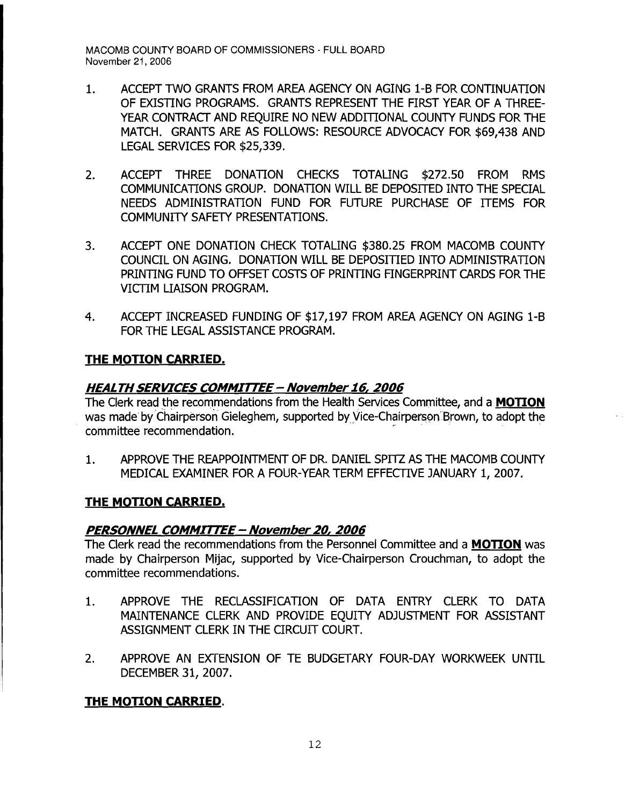- 1. ACCEPT TWO GRANTS FROM AREA AGENCY ON AGING 1-B FOR CONTINUATION OF EXISTING PROGRAMS. GRANTS REPRESENT THE FIRST YEAR OF A THREE-YEAR CONTRACT AND REQUIRE NO NEW ADDITIONAL COUNTY FUNDS FOR THE MATCH. GRANTS ARE AS FOLLOWS: RESOURCE ADVOCACY FOR \$69,438 AND LEGAL SERVICES FOR \$25,339.
- 2. ACCEPT THREE DONATION CHECKS TOTALING \$272.50 FROM RMS COMMUNICATIONS GROUP. DONATION WILL BE DEPOSITED INTO THE SPECIAL NEEDS ADMINISTRATION FUND FOR FUTURE PURCHASE OF ITEMS FOR COMMUNITY SAFETY PRESENTATIONS.
- 3. ACCEPT ONE DONATION CHECK TOTALING \$380.25 FROM MACOMB COUNTY COUNCIL ON AGING. DONATION WILL BE DEPOSITIED INTO ADMINISTRATION PRINTING FUND TO OFFSET COSTS OF PRINTING FINGERPRINT CARDS FOR THE VICTIM LIAISON PROGRAM.
- 4. ACCEPT INCREASED FUNDING OF \$17,197 FROM AREA AGENCY ON AGING 1-B FOR THE LEGAL ASSISTANCE PROGRAM.

# **THE MOTION CARRIED.**

# **HEALTHSERVICES COMMITTEE - November 16,2006**

The Clerk read the recommendations from the Health Services Committee, and a **MOTION**  was made by Chairperson Gieleghem, supported by Vice-Chairperson Brown, to adopt the committee recommendation.

1. APPROVE THE REAPPOINTMENT OF DR. DANIEL SPITZ AS THE MACOMB COUNTY MEDICAL EXAMINER FOR A FOUR-YEAR TERM EFFECfIVE JANUARY 1, 2007.

# **THE MOTION CARRIED.**

# **PERSONNEL COMMITTEE - November** *20,* **2006**

The Clerk read the recommendations from the Personnel Committee and a **MOTION** was made by Chairperson Mijac, supported by Vice-Chairperson Crouchman, to adopt the committee recommendations.

- 1. APPROVE THE RECLASSIFICATION OF DATA ENTRY CLERK TO DATA MAINTENANCE CLERK AND PROVIDE EQUITY ADJUSTMENT FOR ASSISTANT ASSIGNMENT CLERK IN THE CIRCUIT COURT.
- 2. APPROVE AN EXTENSION OF TE BUDGETARY FOUR-DAY WORKWEEK UNTIL DECEMBER 31, 2007.

# **THE MOTION CARRIED.**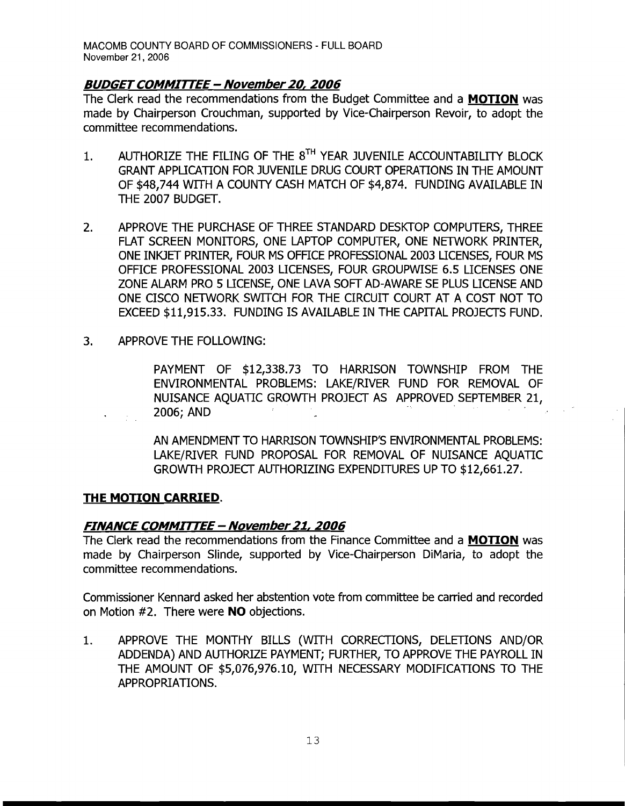#### **BUDGETCOMMITTEE - November** *20,* **2006**

The Clerk read the recommendations from the Budget Committee and a **MOTION** was made by Chairperson Crouchman, supported by Vice-Chairperson Revoir, to adopt the committee recommendations.

- 1. AUTHORIZE THE FILING OF THE 8TH YEAR JUVENILE ACCOUNTABILITY BLOCK GRANT APPLICATION FOR JUVENILE DRUG COURT OPERATIONS IN THE AMOUNT OF \$48,744 WITH A COUNTY CASH MATCH OF \$4,874. FUNDING AVAILABLE IN THE 2007 BUDGET.
- 2. APPROVE THE PURCHASE OF THREE STANDARD DESKTOP COMPUTERS, THREE FLAT SCREEN MONITORS, ONE LAPTOP COMPUTER, ONE NETWORK PRINTER, ONE INKJET PRINTER, FOUR MS OFFICE PROFESSIONAL 2003 LICENSES, FOUR MS OFFICE PROFESSIONAL 2003 LICENSES, FOUR GROUPWISE 6.5 LICENSES ONE ZONE ALARM PRO 5 LICENSE, ONE LAVA SOFT AD-AWARE SE PLUS LICENSE AND ONE CISCO NETWORK SWITCH FOR THE CIRCUIT COURT AT A COST NOT TO EXCEED \$11,915.33. FUNDING IS AVAILABLE IN THE CAPITAL PROJECTS FUND.
- 3. APPROVE THE FOLLOWING:

PAYMENT OF \$12,338.73 TO HARRlSON TOWNSHIP FROM THE ENVIRONMENTAL PROBLEMS: LAKE/RIVER FUND FOR REMOVAL OF NUISANCE AQUATIC GROWTH PROJECT AS APPROVED SEPTEMBER 21, ISCO NETWORK SWITCH FOR THE CIRCOIT COOKT AT A COST NOT<br>D \$11,915.33. FUNDING IS AVAILABLE IN THE CAPITAL PROJECTS FUN<br>VE THE FOLLOWING:<br>PAYMENT OF \$12,338.73 TO HARRISON TOWNSHIP FROM T<br>ENVIRONMENTAL PROBLEMS: LAKE/RIVER

AN AMENDMENT TO HARRISON TOWNSHIP'S ENVIRONMENTAL PROBLEMS: LAKE/RIVER FUND PROPOSAL FOR REMOVAL OF NUISANCE AQUATIC GROWTH PROJECT AUTHORIZING EXPENDITURES UP TO \$12,661.27.

#### **THE MOTION CARRIED.**

#### **FINANCE COMMITTEE - November** 21, **2006**

The Clerk read the recommendations from the Finance Committee and a **MOTION** was made by Chairperson Slinde, supported by Vice-Chairperson DiMaria, to adopt the committee recommendations.

Commissioner Kennard asked her abstention vote from committee be carried and recorded on Motion #2. There were **NO** objections.

1. APPROVE THE MONTHY BILLS (WITH CORRECTIONS, DELETIONS AND/OR ADDENDA) AND AUTHORlZE PAYMENT; FURTHER, TO APPROVE THE PAYROLL IN THE AMOUNT OF \$5,076,976.10, WITH NECESSARY MODIFICATIONS TO THE APPROPRlATIONS.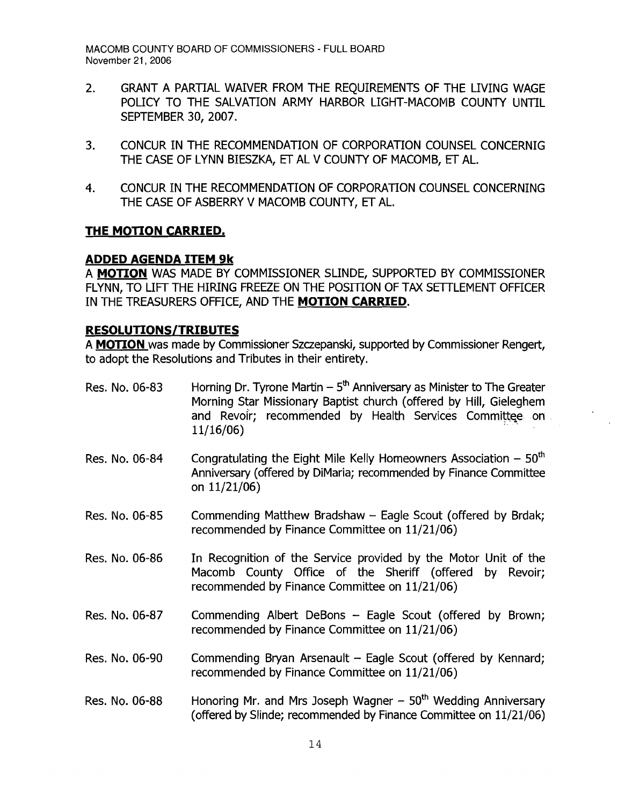- 2. GRANT A PARTIAL WAIVER FROM THE REOUIREMENTS OF THE LIVING WAGE POLICY TO THE SALVATION ARMY HARBOR LIGHT-MACOMB COUNTY UNTIL SEPTEMBER 30, 2007.
- 3. CONCUR IN THE RECOMMENDATION OF CORPORATION COUNSEL CONCERNIG THE CASE OF LYNN BIESZKA, ET AL V COUNTY OF MACOMB, ET AL.
- 4. CONCUR IN THE RECOMMENDATION OF CORPORATION COUNSEL CONCERNING THE CASE OF ASBERRY V MACOMB COUNTY, ET AL.

# **THE MOTION CARRIED.**

#### **ADDED AGENDA ITEM 9k**

A **MOTION** WAS MADE BY COMMISSIONER SLINDE, SUPPORTED BY COMMISSIONER FLYNN, TO LIFT THE HIRING FREEZE ON THE POSITION OF TAX SETTLEMENT OFFICER IN THE TREASURERS OFFICE, AND THE **MOTION CARRIED.** 

# **RESOLUTIONS/TRIBUTES**

A **MOTION** was made by Commissioner Szczepanski, supported by Commissioner Rengert, to adopt the Resolutions and Tributes in their entirety.

- Res. No. 06-83 Horning Dr. Tyrone Martin  $-5<sup>th</sup>$  Anniversary as Minister to The Greater Morning Star Missionary Baptist church (offered by Hill, Gieleghem and Revoir: recommended by Health Services Committee on.  $11/16/06$
- Res. No. 06-84 Congratulating the Eight Mile Kelly Homeowners Association  $-50<sup>th</sup>$ Anniversary (offered by DiMaria; recommended by Finance Committee on 11/21/06)
- Res. No. 06-85 Commending Matthew Bradshaw Eagle Scout (offered by Brdak; recommended by Finance Committee on 11/21/06)
- Res. No. 06-86 In Recognition of the Service provided by the Motor Unit of the Macomb County Office of the Sheriff (offered by Revoir; recommended by Finance Committee on 11/21/06)
- Res. No. 06-87 Commending Albert DeBons Eagle Scout (offered by Brown; recommended by Finance Committee on 11/21/06)
- Res. No.  $06-90$  Commending Bryan Arsenault Eagle Scout (offered by Kennard; recommended by Finance Committee on 11/21/06)
- Res. No. 06-88 •• Honoring Mr. and Mrs Joseph Wagner  $-50<sup>th</sup>$  Wedding Anniversary (offered by Slinde; recommended by Finance Committee on 11/21/06)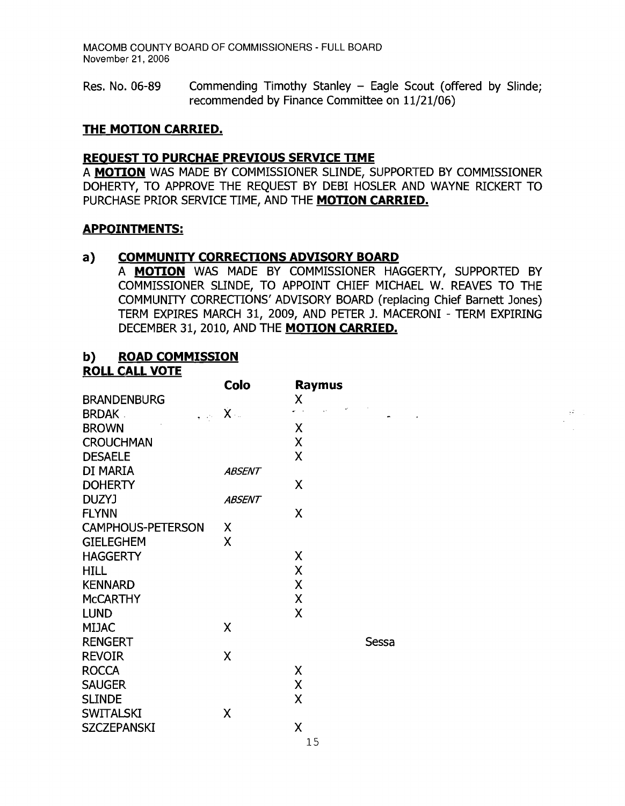Res. No. 06-89 Commending Timothy Stanley - Eagle Scout (offered by Slinde; recommended by Finance Committee on 11/21/06)

#### **THE MOTION CARRIED.**

#### **REOUEST TO PURCHAE PREVIOUS SERVICE TIME**

A **MOTION** WAS MADE BY COMMISSIONER SLINDE, SUPPORTED BY COMMISSIONER DOHERTY, TO APPROVE THE REQUEST BY DEBI HOSLER AND WAYNE RICKERT TO PURCHASE PRIOR SERVICE TIME, AND THE **MOTION CARRIED.** 

#### **APPOINTMENTS:**

#### **a} COMMUNITY CORRECTIONS ADVISORY BOARD**

A **MOTION** WAS MADE BY COMMISSIONER HAGGERTY, SUPPORTED BY COMMISSIONER SUNDE, TO APPOINT CHIEF MICHAEL W. REAVES TO THE COMMUNITY CORRECTIONS' ADVISORY BOARD (replacing Chief Barnett Jones) TERM EXPIRES MARCH 31, 2009, AND PETER J. MACERONI - TERM EXPIRING DECEMBER 31, 2010, AND THE **MOTION CARRIED.** 

#### **b} ROAD COMMISSION ROLL CALL VOTE**

|                          | Colo                                 | <b>Raymus</b>               |       |                                    |
|--------------------------|--------------------------------------|-----------------------------|-------|------------------------------------|
| <b>BRANDENBURG</b>       |                                      | Χ                           |       |                                    |
| <b>BRDAK</b>             | $\mathbf{y} = \mathbf{y} \mathbf{y}$ | $\omega \rightarrow \omega$ |       | $\mathbb{R}^2 \times \mathbb{R}^2$ |
| <b>BROWN</b>             |                                      | Χ                           |       |                                    |
| <b>CROUCHMAN</b>         |                                      | $\boldsymbol{\mathsf{X}}$   |       |                                    |
| <b>DESAELE</b>           |                                      | $\overline{\mathsf{X}}$     |       |                                    |
| DI MARIA                 | <b>ABSENT</b>                        |                             |       |                                    |
| <b>DOHERTY</b>           |                                      | $\sf X$                     |       |                                    |
| DUZYJ                    | <b>ABSENT</b>                        |                             |       |                                    |
| <b>FLYNN</b>             |                                      | $\mathsf X$                 |       |                                    |
| <b>CAMPHOUS-PETERSON</b> | X                                    |                             |       |                                    |
| <b>GIELEGHEM</b>         | X                                    |                             |       |                                    |
| <b>HAGGERTY</b>          |                                      | X                           |       |                                    |
| <b>HILL</b>              |                                      | $\boldsymbol{\mathsf{X}}$   |       |                                    |
| <b>KENNARD</b>           |                                      | $\boldsymbol{\mathsf{X}}$   |       |                                    |
| <b>MCCARTHY</b>          |                                      | $\boldsymbol{\mathsf{X}}$   |       |                                    |
| <b>LUND</b>              |                                      | X                           |       |                                    |
| <b>MIJAC</b>             | $\mathsf{X}$                         |                             |       |                                    |
| <b>RENGERT</b>           |                                      |                             | Sessa |                                    |
| <b>REVOIR</b>            | $\boldsymbol{\mathsf{X}}$            |                             |       |                                    |
| <b>ROCCA</b>             |                                      | $\pmb{\mathsf{X}}$          |       |                                    |
| <b>SAUGER</b>            |                                      | $\pmb{\mathsf{X}}$          |       |                                    |
| <b>SLINDE</b>            |                                      | $\sf X$                     |       |                                    |
| <b>SWITALSKI</b>         | X                                    |                             |       |                                    |
| <b>SZCZEPANSKI</b>       |                                      | $\sf X$                     |       |                                    |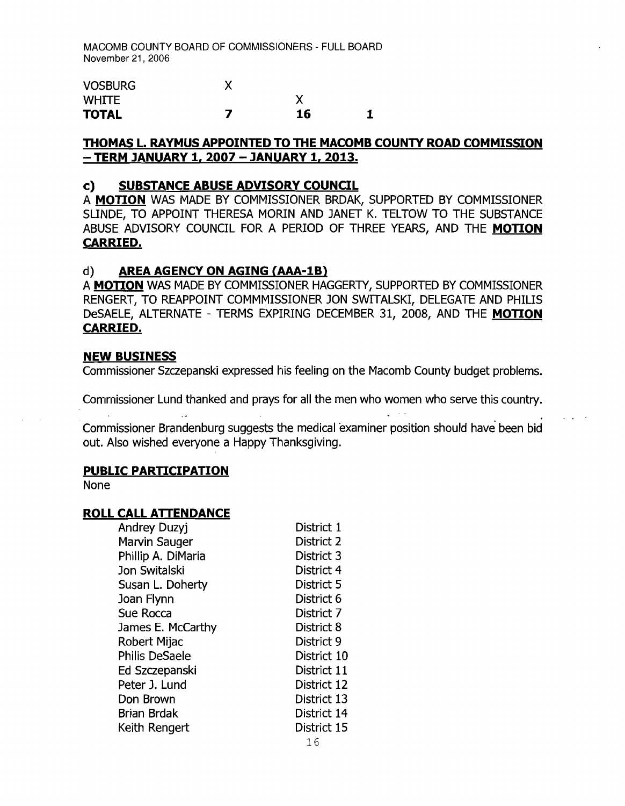| <b>VOSBURG</b> |    |  |
|----------------|----|--|
| <b>WHITE</b>   |    |  |
| <b>TOTAL</b>   | 16 |  |

# **THOMAS L. RAYMUS APPOINTED TO THE MACOMB COUNTY ROAD COMMISSION - TERM JANUARY 1, 2007 - JANUARY 1, 2013.**

#### **c) SUBSTANCE ABUSE ADVISORY COUNCIL**

A **MOTION** WAS MADE BY COMMISSIONER BRDAK, SUPPORTED BY COMMISSIONER SUNDE, TO APPOINT THERESA MORIN AND JANET K. TELTOW TO THE SUBSTANCE ABUSE ADVISORY COUNCIL FOR A PERIOD OF THREE YEARS, AND THE **MOTION CARRIED.** 

#### d) **AREA AGENCY ON AGING (AAA-1Bl**

A **MOTION** WAS MADE BY COMMISSIONER HAGGERTY, SUPPORTED BY COMMISSIONER RENGERT, TO REAPPOINT COMMMISSIONER JON SWITALSKI, DELEGATE AND PHILIS DeSAELE, ALTERNATE - TERMS EXPIRING DECEMBER 31, 2008, AND THE **MOTION CARRIED.** 

#### **NEW BUSINESS**

Commissioner Szczepanski expressed his feeling on the Macomb County budget problems.

Commissioner Lund thanked and prays for all the men who women who serve this country.

Commissioner Brandenburg suggests the medical examiner position should have" been bid out. Also wished everyone a Happy Thanksgiving.

#### **PUBLIC PARTICIPATION**

None

# **ROLL CALL ATIENDANCE**

| <b>Andrey Duzyj</b>   | District 1  |
|-----------------------|-------------|
| Marvin Sauger         | District 2  |
| Phillip A. DiMaria    | District 3  |
| Jon Switalski         | District 4  |
| Susan L. Doherty      | District 5  |
| Joan Flynn            | District 6  |
| Sue Rocca             | District 7  |
| James E. McCarthy     | District 8  |
| Robert Mijac          | District 9  |
| <b>Philis DeSaele</b> | District 10 |
| Ed Szczepanski        | District 11 |
| Peter J. Lund         | District 12 |
| Don Brown             | District 13 |
| <b>Brian Brdak</b>    | District 14 |
| Keith Rengert         | District 15 |